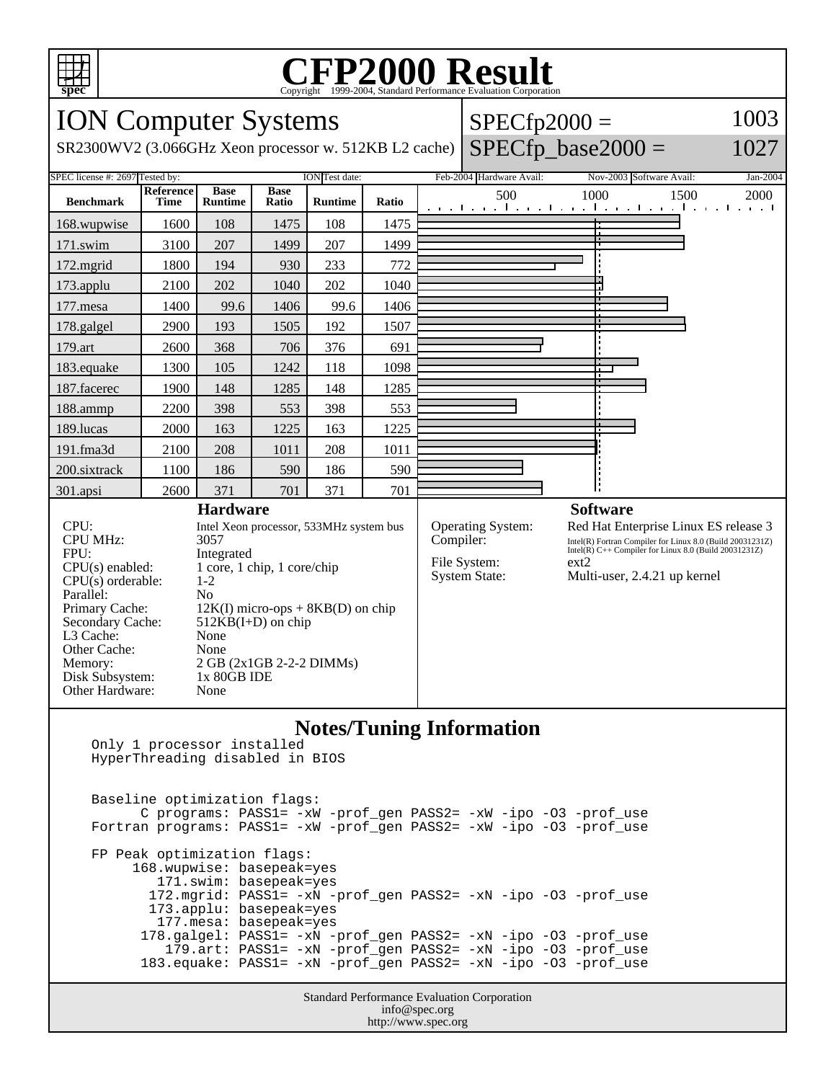

## Copyright ©1999-2004, Standard Performance Evaluation Corporation

| <b>ION Computer Systems</b>                              |                                                       |                               |                      |                |           |                                      | $SPECfp2000 =$                                                                                                     |                                                          | 1003         |
|----------------------------------------------------------|-------------------------------------------------------|-------------------------------|----------------------|----------------|-----------|--------------------------------------|--------------------------------------------------------------------------------------------------------------------|----------------------------------------------------------|--------------|
| SR2300WV2 (3.066GHz Xeon processor w. 512KB L2 cache)    |                                                       |                               |                      |                |           |                                      |                                                                                                                    | $SPECfp\_base2000 =$                                     | 1027         |
| SPEC license #: 2697 Tested by:<br><b>ION</b> Test date: |                                                       |                               |                      |                |           |                                      | Feb-2004 Hardware Avail:                                                                                           | Nov-2003 Software Avail:                                 | Jan-2004     |
| <b>Benchmark</b>                                         | Reference<br><b>Time</b>                              | <b>Base</b><br><b>Runtime</b> | <b>Base</b><br>Ratio | <b>Runtime</b> | Ratio     |                                      | 500                                                                                                                | 1000<br>المتواجب والمتواطن والمتواطن والمتواطن والمتواطن | 1500<br>2000 |
| 168.wupwise                                              | 1600                                                  | 108                           | 1475                 | 108            | 1475      |                                      |                                                                                                                    |                                                          |              |
| $171$ .swim                                              | 3100                                                  | 207                           | 1499                 | 207            | 1499      |                                      |                                                                                                                    |                                                          |              |
| 172.mgrid                                                | 1800                                                  | 194                           | 930                  | 233            | 772       |                                      |                                                                                                                    |                                                          |              |
| 173.applu                                                | 2100                                                  | 202                           | 1040                 | 202            | 1040      |                                      |                                                                                                                    |                                                          |              |
| 177.mesa                                                 | 1400                                                  | 99.6                          | 1406                 | 99.6           | 1406      |                                      |                                                                                                                    |                                                          |              |
| 178.galgel                                               | 2900                                                  | 193                           | 1505                 | 192            | 1507      |                                      |                                                                                                                    |                                                          |              |
| 179.art                                                  | 2600                                                  | 368                           | 706                  | 376            | 691       |                                      |                                                                                                                    |                                                          |              |
| 183.equake                                               | 1300                                                  | 105                           | 1242                 | 118            | 1098      |                                      |                                                                                                                    |                                                          |              |
| 187.facerec                                              | 1900                                                  | 148                           | 1285                 | 148            | 1285      |                                      |                                                                                                                    |                                                          |              |
| 188.ammp                                                 | 2200                                                  | 398                           | 553                  | 398            | 553       |                                      |                                                                                                                    |                                                          |              |
| 189.lucas                                                | 2000                                                  | 163                           | 1225                 | 163            | 1225      |                                      |                                                                                                                    |                                                          |              |
| 191.fma3d                                                | 2100                                                  | 208                           | 1011                 | 208            | 1011      |                                      |                                                                                                                    |                                                          |              |
| 200.sixtrack                                             | 1100                                                  | 186                           | 590                  | 186            | 590       |                                      |                                                                                                                    |                                                          |              |
| 301.apsi                                                 | 2600                                                  | 371                           | 701                  | 371            | 701       |                                      |                                                                                                                    |                                                          |              |
| <b>Hardware</b>                                          |                                                       |                               |                      |                |           |                                      |                                                                                                                    | <b>Software</b>                                          |              |
| CPU:<br><b>CPU MHz:</b>                                  | Intel Xeon processor, 533MHz system bus<br>3057       |                               |                      |                | Compiler: | Operating System:                    | Red Hat Enterprise Linux ES release 3                                                                              |                                                          |              |
| FPU:                                                     | Integrated                                            |                               |                      |                |           |                                      | Intel(R) Fortran Compiler for Linux 8.0 (Build 20031231Z)<br>Intel(R) C++ Compiler for Linux 8.0 (Build 20031231Z) |                                                          |              |
| $CPU(s)$ enabled:                                        | 1 core, 1 chip, 1 core/chip                           |                               |                      |                |           | File System:<br><b>System State:</b> | $ext{2}$<br>Multi-user, 2.4.21 up kernel                                                                           |                                                          |              |
| CPU(s) orderable:<br>$1 - 2$                             |                                                       |                               |                      |                |           |                                      |                                                                                                                    |                                                          |              |
| Parallel:<br>Primary Cache:                              | N <sub>0</sub><br>$12K(I)$ micro-ops + 8KB(D) on chip |                               |                      |                |           |                                      |                                                                                                                    |                                                          |              |
| Secondary Cache:                                         | $512KB(I+D)$ on chip                                  |                               |                      |                |           |                                      |                                                                                                                    |                                                          |              |
| L3 Cache:                                                | None                                                  |                               |                      |                |           |                                      |                                                                                                                    |                                                          |              |
| Other Cache:                                             | None                                                  |                               |                      |                |           |                                      |                                                                                                                    |                                                          |              |
| Memory:                                                  |                                                       | 2 GB (2x1GB 2-2-2 DIMMs)      |                      |                |           |                                      |                                                                                                                    |                                                          |              |
| Disk Subsystem:<br>Other Hardware:                       |                                                       | 1x 80GB IDE<br>None           |                      |                |           |                                      |                                                                                                                    |                                                          |              |
|                                                          |                                                       |                               |                      |                |           |                                      |                                                                                                                    |                                                          |              |
| <b>Notes/Tuning Information</b>                          |                                                       |                               |                      |                |           |                                      |                                                                                                                    |                                                          |              |

**Notes/Tuning Information**

Standard Performance Evaluation Corporation Only 1 processor installed HyperThreading disabled in BIOS Baseline optimization flags: C programs: PASS1= -xW -prof\_gen PASS2= -xW -ipo -O3 -prof\_use Fortran programs: PASS1= -xW -prof\_gen PASS2= -xW -ipo -O3 -prof\_use FP Peak optimization flags: 168.wupwise: basepeak=yes 171.swim: basepeak=yes 172.mgrid: PASS1= -xN -prof\_gen PASS2= -xN -ipo -O3 -prof\_use 173.applu: basepeak=yes 177.mesa: basepeak=yes 178.galgel: PASS1= -xN -prof\_gen PASS2= -xN -ipo -O3 -prof\_use 179.art: PASS1= -xN -prof\_gen PASS2= -xN -ipo -O3 -prof\_use 183.equake: PASS1= -xN -prof\_gen PASS2= -xN -ipo -O3 -prof\_use

info@spec.org http://www.spec.org